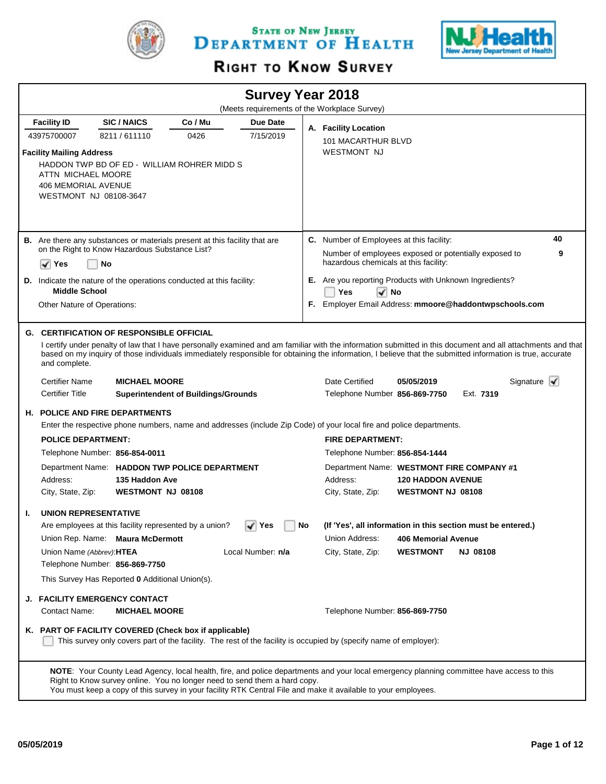

STATE OF NEW JERSEY DEPARTMENT OF HEALTH



# RIGHT TO KNOW SURVEY

|                                                                                                               |                                                                                   |                                            |                   |    | <b>Survey Year 2018</b>                                                                                                                                                                                                                                     |                            |           |                                                                                                                                                             |
|---------------------------------------------------------------------------------------------------------------|-----------------------------------------------------------------------------------|--------------------------------------------|-------------------|----|-------------------------------------------------------------------------------------------------------------------------------------------------------------------------------------------------------------------------------------------------------------|----------------------------|-----------|-------------------------------------------------------------------------------------------------------------------------------------------------------------|
|                                                                                                               |                                                                                   |                                            |                   |    | (Meets requirements of the Workplace Survey)                                                                                                                                                                                                                |                            |           |                                                                                                                                                             |
| <b>Facility ID</b>                                                                                            | <b>SIC/NAICS</b>                                                                  | Co / Mu                                    | Due Date          |    | A. Facility Location                                                                                                                                                                                                                                        |                            |           |                                                                                                                                                             |
| 43975700007                                                                                                   | 8211/611110                                                                       | 0426                                       | 7/15/2019         |    | 101 MACARTHUR BLVD                                                                                                                                                                                                                                          |                            |           |                                                                                                                                                             |
| <b>Facility Mailing Address</b><br>ATTN MICHAEL MOORE<br><b>406 MEMORIAL AVENUE</b><br>WESTMONT NJ 08108-3647 | HADDON TWP BD OF ED - WILLIAM ROHRER MIDD S                                       |                                            |                   |    | <b>WESTMONT NJ</b>                                                                                                                                                                                                                                          |                            |           |                                                                                                                                                             |
|                                                                                                               | <b>B.</b> Are there any substances or materials present at this facility that are |                                            |                   |    | C. Number of Employees at this facility:                                                                                                                                                                                                                    |                            |           | 40                                                                                                                                                          |
|                                                                                                               | on the Right to Know Hazardous Substance List?                                    |                                            |                   |    | Number of employees exposed or potentially exposed to                                                                                                                                                                                                       |                            |           | 9                                                                                                                                                           |
| ✓<br>Yes                                                                                                      | No                                                                                |                                            |                   |    | hazardous chemicals at this facility:                                                                                                                                                                                                                       |                            |           |                                                                                                                                                             |
|                                                                                                               | D. Indicate the nature of the operations conducted at this facility:              |                                            |                   |    | E. Are you reporting Products with Unknown Ingredients?                                                                                                                                                                                                     |                            |           |                                                                                                                                                             |
| <b>Middle School</b>                                                                                          |                                                                                   |                                            |                   |    | Yes<br>I√ No                                                                                                                                                                                                                                                |                            |           |                                                                                                                                                             |
| Other Nature of Operations:                                                                                   |                                                                                   |                                            |                   |    | F. Employer Email Address: mmoore@haddontwpschools.com                                                                                                                                                                                                      |                            |           |                                                                                                                                                             |
|                                                                                                               | <b>G. CERTIFICATION OF RESPONSIBLE OFFICIAL</b>                                   |                                            |                   |    |                                                                                                                                                                                                                                                             |                            |           |                                                                                                                                                             |
| and complete.                                                                                                 |                                                                                   |                                            |                   |    | based on my inquiry of those individuals immediately responsible for obtaining the information, I believe that the submitted information is true, accurate                                                                                                  |                            |           | I certify under penalty of law that I have personally examined and am familiar with the information submitted in this document and all attachments and that |
| <b>Certifier Name</b>                                                                                         | <b>MICHAEL MOORE</b>                                                              |                                            |                   |    | Date Certified                                                                                                                                                                                                                                              | 05/05/2019                 |           | Signature $\mathbf{V}$                                                                                                                                      |
| <b>Certifier Title</b>                                                                                        |                                                                                   | <b>Superintendent of Buildings/Grounds</b> |                   |    | Telephone Number 856-869-7750                                                                                                                                                                                                                               |                            | Ext. 7319 |                                                                                                                                                             |
|                                                                                                               | <b>H. POLICE AND FIRE DEPARTMENTS</b>                                             |                                            |                   |    |                                                                                                                                                                                                                                                             |                            |           |                                                                                                                                                             |
|                                                                                                               |                                                                                   |                                            |                   |    | Enter the respective phone numbers, name and addresses (include Zip Code) of your local fire and police departments.                                                                                                                                        |                            |           |                                                                                                                                                             |
| <b>POLICE DEPARTMENT:</b>                                                                                     |                                                                                   |                                            |                   |    | <b>FIRE DEPARTMENT:</b>                                                                                                                                                                                                                                     |                            |           |                                                                                                                                                             |
|                                                                                                               | Telephone Number: 856-854-0011                                                    |                                            |                   |    | Telephone Number: 856-854-1444                                                                                                                                                                                                                              |                            |           |                                                                                                                                                             |
|                                                                                                               | Department Name: HADDON TWP POLICE DEPARTMENT                                     |                                            |                   |    | Department Name: WESTMONT FIRE COMPANY #1                                                                                                                                                                                                                   |                            |           |                                                                                                                                                             |
| Address:                                                                                                      | 135 Haddon Ave                                                                    |                                            |                   |    | Address:                                                                                                                                                                                                                                                    | <b>120 HADDON AVENUE</b>   |           |                                                                                                                                                             |
| City, State, Zip:                                                                                             | <b>WESTMONT NJ 08108</b>                                                          |                                            |                   |    | City, State, Zip:                                                                                                                                                                                                                                           | <b>WESTMONT NJ 08108</b>   |           |                                                                                                                                                             |
| <b>UNION REPRESENTATIVE</b><br>Т.                                                                             |                                                                                   |                                            |                   |    |                                                                                                                                                                                                                                                             |                            |           |                                                                                                                                                             |
|                                                                                                               | Are employees at this facility represented by a union?                            |                                            | √ Yes             | No | (If 'Yes', all information in this section must be entered.)                                                                                                                                                                                                |                            |           |                                                                                                                                                             |
|                                                                                                               | Union Rep. Name: Maura McDermott                                                  |                                            |                   |    | Union Address:                                                                                                                                                                                                                                              | <b>406 Memorial Avenue</b> |           |                                                                                                                                                             |
| Union Name (Abbrev): HTEA                                                                                     |                                                                                   |                                            | Local Number: n/a |    | City, State, Zip:                                                                                                                                                                                                                                           | <b>WESTMONT</b>            | NJ 08108  |                                                                                                                                                             |
|                                                                                                               | Telephone Number: 856-869-7750                                                    |                                            |                   |    |                                                                                                                                                                                                                                                             |                            |           |                                                                                                                                                             |
|                                                                                                               | This Survey Has Reported 0 Additional Union(s).                                   |                                            |                   |    |                                                                                                                                                                                                                                                             |                            |           |                                                                                                                                                             |
|                                                                                                               | <b>J. FACILITY EMERGENCY CONTACT</b>                                              |                                            |                   |    |                                                                                                                                                                                                                                                             |                            |           |                                                                                                                                                             |
| Contact Name:                                                                                                 | <b>MICHAEL MOORE</b>                                                              |                                            |                   |    | Telephone Number: 856-869-7750                                                                                                                                                                                                                              |                            |           |                                                                                                                                                             |
|                                                                                                               | K. PART OF FACILITY COVERED (Check box if applicable)                             |                                            |                   |    | This survey only covers part of the facility. The rest of the facility is occupied by (specify name of employer):                                                                                                                                           |                            |           |                                                                                                                                                             |
|                                                                                                               | Right to Know survey online. You no longer need to send them a hard copy.         |                                            |                   |    | NOTE: Your County Lead Agency, local health, fire, and police departments and your local emergency planning committee have access to this<br>You must keep a copy of this survey in your facility RTK Central File and make it available to your employees. |                            |           |                                                                                                                                                             |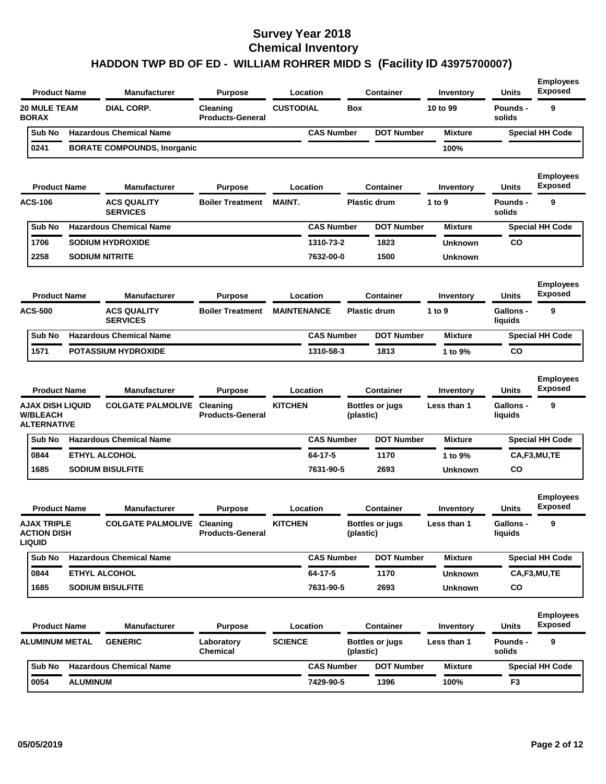| <b>Product Name</b>                                              | <b>Manufacturer</b>                   | <b>Purpose</b>                             |                    | Location          |            | Container              | Inventory      | <b>Units</b>                | <b>Employees</b><br><b>Exposed</b> |
|------------------------------------------------------------------|---------------------------------------|--------------------------------------------|--------------------|-------------------|------------|------------------------|----------------|-----------------------------|------------------------------------|
| <b>20 MULE TEAM</b><br><b>BORAX</b>                              | <b>DIAL CORP.</b>                     | Cleaning<br><b>Products-General</b>        | <b>CUSTODIAL</b>   |                   | <b>Box</b> |                        | 10 to 99       | <b>Pounds -</b><br>solids   | 9                                  |
| Sub No                                                           | <b>Hazardous Chemical Name</b>        |                                            |                    | <b>CAS Number</b> |            | <b>DOT Number</b>      | <b>Mixture</b> |                             | <b>Special HH Code</b>             |
| 0241                                                             | <b>BORATE COMPOUNDS, Inorganic</b>    |                                            |                    |                   |            |                        | 100%           |                             |                                    |
| <b>Product Name</b>                                              | <b>Manufacturer</b>                   | <b>Purpose</b>                             |                    | Location          |            | Container              | Inventory      | <b>Units</b>                | <b>Employees</b><br><b>Exposed</b> |
| <b>ACS-106</b>                                                   | <b>ACS QUALITY</b><br><b>SERVICES</b> | <b>Boiler Treatment</b>                    | <b>MAINT.</b>      |                   |            | <b>Plastic drum</b>    | 1 to 9         | Pounds -<br>solids          | 9                                  |
| Sub No                                                           | <b>Hazardous Chemical Name</b>        |                                            |                    | <b>CAS Number</b> |            | <b>DOT Number</b>      | <b>Mixture</b> |                             | <b>Special HH Code</b>             |
| 1706                                                             | <b>SODIUM HYDROXIDE</b>               |                                            |                    | 1310-73-2         |            | 1823                   | Unknown        | CO                          |                                    |
| 2258                                                             | <b>SODIUM NITRITE</b>                 |                                            |                    | 7632-00-0         |            | 1500                   | <b>Unknown</b> |                             |                                    |
| <b>Product Name</b>                                              | <b>Manufacturer</b>                   | <b>Purpose</b>                             |                    | Location          |            | <b>Container</b>       | Inventory      | <b>Units</b>                | <b>Employees</b><br><b>Exposed</b> |
| <b>ACS-500</b>                                                   | <b>ACS QUALITY</b><br><b>SERVICES</b> | <b>Boiler Treatment</b>                    | <b>MAINTENANCE</b> |                   |            | <b>Plastic drum</b>    | 1 to 9         | <b>Gallons -</b><br>liquids | 9                                  |
| Sub No                                                           | <b>Hazardous Chemical Name</b>        |                                            |                    | <b>CAS Number</b> |            | <b>DOT Number</b>      | <b>Mixture</b> |                             | <b>Special HH Code</b>             |
| 1571                                                             | <b>POTASSIUM HYDROXIDE</b>            |                                            |                    | 1310-58-3         |            | 1813                   | 1 to 9%        | CO                          |                                    |
| <b>Product Name</b>                                              | <b>Manufacturer</b>                   | <b>Purpose</b>                             |                    | Location          |            | Container              | Inventory      | Units                       | <b>Employees</b><br><b>Exposed</b> |
| <b>AJAX DISH LIQUID</b><br><b>W/BLEACH</b><br><b>ALTERNATIVE</b> | <b>COLGATE PALMOLIVE</b>              | <b>Cleaning</b><br><b>Products-General</b> | <b>KITCHEN</b>     |                   | (plastic)  | <b>Bottles or jugs</b> | Less than 1    | <b>Gallons -</b><br>liquids | 9                                  |
| Sub No                                                           | <b>Hazardous Chemical Name</b>        |                                            |                    | <b>CAS Number</b> |            | <b>DOT Number</b>      | <b>Mixture</b> |                             | <b>Special HH Code</b>             |
| 0844                                                             | <b>ETHYL ALCOHOL</b>                  |                                            |                    | 64-17-5           |            | 1170                   | 1 to 9%        |                             | CA,F3,MU,TE                        |
| 1685                                                             | <b>SODIUM BISULFITE</b>               |                                            |                    | 7631-90-5         |            | 2693                   | Unknown        | CO                          |                                    |
| <b>Product Name</b>                                              | <b>Manufacturer</b>                   | <b>Purpose</b>                             |                    | Location          |            | Container              | Inventory      | <b>Units</b>                | <b>Employees</b><br><b>Exposed</b> |
| <b>AJAX TRIPLE</b><br><b>ACTION DISH</b><br><b>LIQUID</b>        | <b>COLGATE PALMOLIVE Cleaning</b>     | <b>Products-General</b>                    | <b>KITCHEN</b>     |                   | (plastic)  | <b>Bottles or jugs</b> | Less than 1    | Gallons -<br>liquids        | 9                                  |
| Sub No                                                           | <b>Hazardous Chemical Name</b>        |                                            |                    | <b>CAS Number</b> |            | <b>DOT Number</b>      | <b>Mixture</b> |                             | <b>Special HH Code</b>             |
| 0844                                                             | ETHYL ALCOHOL                         |                                            |                    | 64-17-5           |            | 1170                   | Unknown        |                             | CA,F3,MU,TE                        |
| 1685                                                             | <b>SODIUM BISULFITE</b>               |                                            |                    | 7631-90-5         |            | 2693                   | Unknown        | CO                          |                                    |
| <b>Product Name</b>                                              | <b>Manufacturer</b>                   | <b>Purpose</b>                             |                    | Location          |            | <b>Container</b>       | Inventory      | Units                       | <b>Employees</b><br><b>Exposed</b> |
| <b>ALUMINUM METAL</b>                                            | <b>GENERIC</b>                        | Laboratory<br>Chemical                     | <b>SCIENCE</b>     |                   | (plastic)  | <b>Bottles or jugs</b> | Less than 1    | Pounds -<br>solids          | 9                                  |
| Sub No                                                           | <b>Hazardous Chemical Name</b>        |                                            |                    | <b>CAS Number</b> |            | <b>DOT Number</b>      | <b>Mixture</b> |                             | <b>Special HH Code</b>             |
|                                                                  |                                       |                                            |                    |                   |            |                        |                |                             |                                    |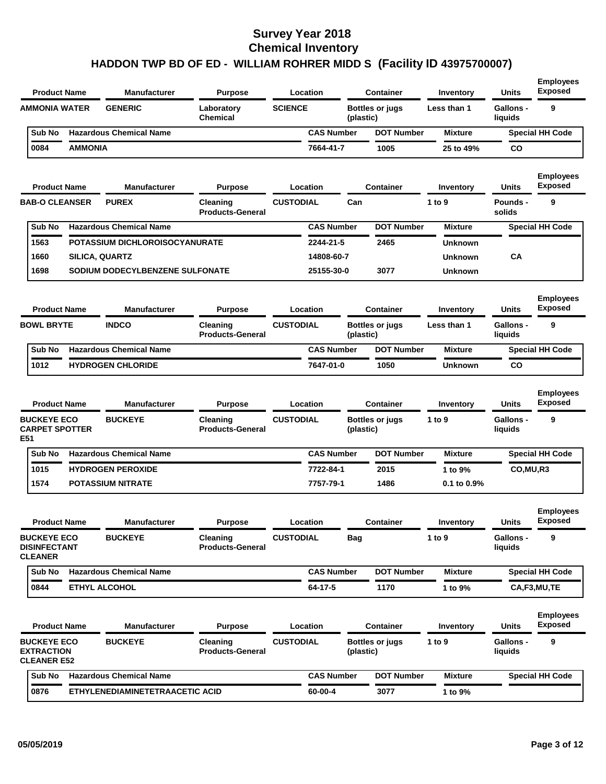| <b>Product Name</b>                                           |                | <b>Manufacturer</b>             | <b>Purpose</b>                      | Location          |           | <b>Container</b>       | Inventory      | Units                       | <b>Employees</b><br><b>Exposed</b> |
|---------------------------------------------------------------|----------------|---------------------------------|-------------------------------------|-------------------|-----------|------------------------|----------------|-----------------------------|------------------------------------|
| <b>AMMONIA WATER</b>                                          |                | <b>GENERIC</b>                  | Laboratory<br><b>Chemical</b>       | <b>SCIENCE</b>    | (plastic) | <b>Bottles or jugs</b> | Less than 1    | <b>Gallons -</b><br>liquids | 9                                  |
| Sub No                                                        |                | <b>Hazardous Chemical Name</b>  |                                     | <b>CAS Number</b> |           | <b>DOT Number</b>      | <b>Mixture</b> |                             | <b>Special HH Code</b>             |
| 0084                                                          | <b>AMMONIA</b> |                                 |                                     | 7664-41-7         |           | 1005                   | 25 to 49%      | CO                          |                                    |
| <b>Product Name</b>                                           |                | <b>Manufacturer</b>             | Purpose                             | Location          |           | <b>Container</b>       | Inventory      | Units                       | <b>Employees</b><br><b>Exposed</b> |
| <b>BAB-O CLEANSER</b>                                         |                | <b>PUREX</b>                    | Cleaning<br><b>Products-General</b> | <b>CUSTODIAL</b>  | Can       |                        | 1 to 9         | <b>Pounds -</b><br>solids   | 9                                  |
| Sub No                                                        |                | <b>Hazardous Chemical Name</b>  |                                     | <b>CAS Number</b> |           | <b>DOT Number</b>      | <b>Mixture</b> |                             | <b>Special HH Code</b>             |
| 1563                                                          |                | POTASSIUM DICHLOROISOCYANURATE  |                                     | 2244-21-5         |           | 2465                   | <b>Unknown</b> |                             |                                    |
| 1660                                                          |                | <b>SILICA, QUARTZ</b>           |                                     | 14808-60-7        |           |                        | <b>Unknown</b> | CA                          |                                    |
| 1698                                                          |                | SODIUM DODECYLBENZENE SULFONATE |                                     | 25155-30-0        |           | 3077                   | <b>Unknown</b> |                             |                                    |
| <b>Product Name</b>                                           |                | <b>Manufacturer</b>             | <b>Purpose</b>                      | Location          |           | <b>Container</b>       | Inventory      | <b>Units</b>                | <b>Employees</b><br><b>Exposed</b> |
| <b>BOWL BRYTE</b>                                             |                | <b>INDCO</b>                    | Cleaning<br><b>Products-General</b> | <b>CUSTODIAL</b>  | (plastic) | <b>Bottles or jugs</b> | Less than 1    | Gallons -<br>liquids        | 9                                  |
| Sub No                                                        |                | <b>Hazardous Chemical Name</b>  |                                     | <b>CAS Number</b> |           | <b>DOT Number</b>      | <b>Mixture</b> |                             | <b>Special HH Code</b>             |
| 1012                                                          |                | <b>HYDROGEN CHLORIDE</b>        |                                     | 7647-01-0         |           | 1050                   | <b>Unknown</b> | <b>CO</b>                   |                                    |
| <b>Product Name</b>                                           |                | <b>Manufacturer</b>             | <b>Purpose</b>                      | Location          |           | <b>Container</b>       | Inventory      | Units                       | <b>Employees</b><br><b>Exposed</b> |
| <b>BUCKEYE ECO</b><br><b>CARPET SPOTTER</b><br>E51            |                | <b>BUCKEYE</b>                  | Cleaning<br><b>Products-General</b> | <b>CUSTODIAL</b>  | (plastic) | <b>Bottles or jugs</b> | 1 to 9         | <b>Gallons -</b><br>liquids | 9                                  |
| Sub No                                                        |                | <b>Hazardous Chemical Name</b>  |                                     | <b>CAS Number</b> |           | <b>DOT Number</b>      | <b>Mixture</b> |                             | <b>Special HH Code</b>             |
| 1015                                                          |                | <b>HYDROGEN PEROXIDE</b>        |                                     | 7722-84-1         |           | 2015                   | 1 to 9%        | CO,MU,R3                    |                                    |
| 1574                                                          |                | <b>POTASSIUM NITRATE</b>        |                                     | 7757-79-1         |           | 1486                   | 0.1 to 0.9%    |                             |                                    |
| <b>Product Name</b>                                           |                | Manufacturer                    | <b>Purpose</b>                      | Location          |           | <b>Container</b>       | Inventory      | <b>Units</b>                | <b>Employees</b><br>Exposed        |
| <b>BUCKEYE ECO</b><br><b>DISINFECTANT</b><br><b>CLEANER</b>   |                | <b>BUCKEYE</b>                  | Cleaning<br><b>Products-General</b> | <b>CUSTODIAL</b>  | Bag       |                        | 1 to $9$       | Gallons -<br>liquids        | 9                                  |
| Sub No                                                        |                | <b>Hazardous Chemical Name</b>  |                                     | <b>CAS Number</b> |           | <b>DOT Number</b>      | <b>Mixture</b> |                             | <b>Special HH Code</b>             |
| 0844                                                          |                | <b>ETHYL ALCOHOL</b>            |                                     | 64-17-5           |           | 1170                   | 1 to 9%        |                             | CA,F3,MU,TE                        |
| <b>Product Name</b>                                           |                | <b>Manufacturer</b>             | <b>Purpose</b>                      | Location          |           | <b>Container</b>       | Inventory      | Units                       | <b>Employees</b><br><b>Exposed</b> |
| <b>BUCKEYE ECO</b><br><b>EXTRACTION</b><br><b>CLEANER E52</b> |                | <b>BUCKEYE</b>                  | Cleaning<br><b>Products-General</b> | <b>CUSTODIAL</b>  | (plastic) | <b>Bottles or jugs</b> | 1 to 9         | Gallons -<br>liquids        | 9                                  |
| Sub No                                                        |                | <b>Hazardous Chemical Name</b>  |                                     | <b>CAS Number</b> |           | <b>DOT Number</b>      | <b>Mixture</b> |                             | <b>Special HH Code</b>             |
| 0876                                                          |                | ETHYLENEDIAMINETETRAACETIC ACID |                                     | 60-00-4           |           | 3077                   | 1 to 9%        |                             |                                    |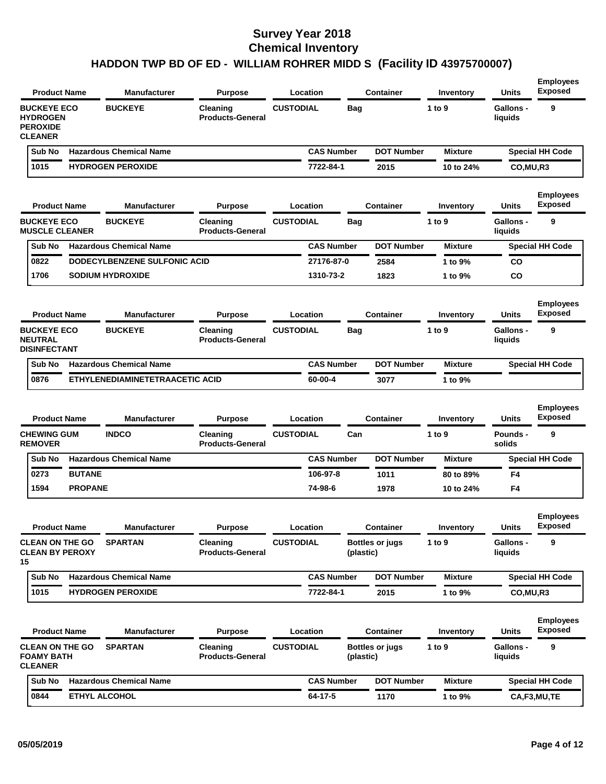| <b>Product Name</b>                                                        | <b>Manufacturer</b><br>Location<br><b>Purpose</b><br><b>Container</b> |                                 |                                     | Inventory         | <b>Units</b> | <b>Employees</b><br><b>Exposed</b> |                |                             |                                    |
|----------------------------------------------------------------------------|-----------------------------------------------------------------------|---------------------------------|-------------------------------------|-------------------|--------------|------------------------------------|----------------|-----------------------------|------------------------------------|
| <b>BUCKEYE ECO</b><br><b>HYDROGEN</b><br><b>PEROXIDE</b><br><b>CLEANER</b> |                                                                       | <b>BUCKEYE</b>                  | Cleaning<br><b>Products-General</b> | <b>CUSTODIAL</b>  | Bag          |                                    | 1 to 9         | <b>Gallons -</b><br>liquids | 9                                  |
| Sub No                                                                     |                                                                       | <b>Hazardous Chemical Name</b>  |                                     | <b>CAS Number</b> |              | <b>DOT Number</b>                  | <b>Mixture</b> |                             | <b>Special HH Code</b>             |
| 1015                                                                       |                                                                       | <b>HYDROGEN PEROXIDE</b>        |                                     | 7722-84-1         |              | 2015                               | 10 to 24%      | CO, MU, R3                  |                                    |
| <b>Product Name</b>                                                        |                                                                       | <b>Manufacturer</b>             | <b>Purpose</b>                      | Location          |              | Container                          | Inventory      | Units                       | <b>Employees</b><br><b>Exposed</b> |
| <b>BUCKEYE ECO</b><br><b>MUSCLE CLEANER</b>                                |                                                                       | <b>BUCKEYE</b>                  | Cleaning<br><b>Products-General</b> | <b>CUSTODIAL</b>  | Baq          |                                    | 1 to 9         | Gallons -<br>liquids        | 9                                  |
| Sub No                                                                     |                                                                       | <b>Hazardous Chemical Name</b>  |                                     | <b>CAS Number</b> |              | <b>DOT Number</b>                  | <b>Mixture</b> |                             | <b>Special HH Code</b>             |
| 0822                                                                       |                                                                       | DODECYLBENZENE SULFONIC ACID    |                                     | 27176-87-0        |              | 2584                               | 1 to 9%        | <b>CO</b>                   |                                    |
| 1706                                                                       |                                                                       | <b>SODIUM HYDROXIDE</b>         |                                     | 1310-73-2         |              | 1823                               | 1 to 9%        | <b>CO</b>                   |                                    |
| <b>Product Name</b>                                                        |                                                                       | <b>Manufacturer</b>             | <b>Purpose</b>                      | Location          |              | <b>Container</b>                   | Inventory      | Units                       | <b>Employees</b><br><b>Exposed</b> |
| <b>BUCKEYE ECO</b><br><b>NEUTRAL</b><br><b>DISINFECTANT</b>                |                                                                       | <b>BUCKEYE</b>                  | Cleaning<br><b>Products-General</b> | <b>CUSTODIAL</b>  | <b>Bag</b>   |                                    | 1 to 9         | <b>Gallons -</b><br>liquids | 9                                  |
| Sub No                                                                     |                                                                       | <b>Hazardous Chemical Name</b>  |                                     | <b>CAS Number</b> |              | <b>DOT Number</b>                  | <b>Mixture</b> |                             | <b>Special HH Code</b>             |
|                                                                            |                                                                       | ETHYLENEDIAMINETETRAACETIC ACID |                                     |                   |              |                                    |                |                             |                                    |
| 0876                                                                       |                                                                       |                                 |                                     | 60-00-4           |              | 3077                               | 1 to 9%        |                             |                                    |
| <b>Product Name</b>                                                        |                                                                       | <b>Manufacturer</b>             | <b>Purpose</b>                      | Location          |              | <b>Container</b>                   | Inventory      | <b>Units</b>                | <b>Employees</b><br><b>Exposed</b> |
| <b>CHEWING GUM</b><br><b>REMOVER</b>                                       |                                                                       | <b>INDCO</b>                    | Cleaning<br><b>Products-General</b> | <b>CUSTODIAL</b>  | Can          |                                    | 1 to 9         | Pounds -<br>solids          | 9                                  |
| Sub No                                                                     |                                                                       | <b>Hazardous Chemical Name</b>  |                                     | <b>CAS Number</b> |              | <b>DOT Number</b>                  | <b>Mixture</b> |                             | <b>Special HH Code</b>             |
| 0273                                                                       | <b>BUTANE</b>                                                         |                                 |                                     | 106-97-8          |              | 1011                               | 80 to 89%      | F4                          |                                    |
| 1594                                                                       | <b>PROPANE</b>                                                        |                                 |                                     | 74-98-6           |              | 1978                               | 10 to 24%      | F4                          |                                    |
| <b>Product Name</b>                                                        |                                                                       | <b>Manufacturer</b>             | <b>Purpose</b>                      | Location          |              | <b>Container</b>                   | Inventory      | <b>Units</b>                | <b>Employees</b><br><b>Exposed</b> |
| <b>CLEAN ON THE GO</b><br><b>CLEAN BY PEROXY</b><br>15                     |                                                                       | <b>SPARTAN</b>                  | Cleaning<br><b>Products-General</b> | <b>CUSTODIAL</b>  | (plastic)    | <b>Bottles or jugs</b>             | 1 to $9$       | <b>Gallons -</b><br>liquids | 9                                  |
| Sub No                                                                     |                                                                       | <b>Hazardous Chemical Name</b>  |                                     | <b>CAS Number</b> |              | <b>DOT Number</b>                  | <b>Mixture</b> |                             | <b>Special HH Code</b>             |
| 1015                                                                       |                                                                       | <b>HYDROGEN PEROXIDE</b>        |                                     | 7722-84-1         |              | 2015                               | 1 to 9%        | CO,MU,R3                    |                                    |
| <b>Product Name</b>                                                        |                                                                       | <b>Manufacturer</b>             | <b>Purpose</b>                      | Location          |              | <b>Container</b>                   | Inventory      | <b>Units</b>                | <b>Employees</b><br><b>Exposed</b> |
| <b>CLEAN ON THE GO</b><br><b>FOAMY BATH</b><br><b>CLEANER</b>              |                                                                       | <b>SPARTAN</b>                  | Cleaning<br><b>Products-General</b> | <b>CUSTODIAL</b>  | (plastic)    | <b>Bottles or jugs</b>             | 1 to $9$       | Gallons -<br>liquids        | 9                                  |
| Sub No                                                                     |                                                                       | <b>Hazardous Chemical Name</b>  |                                     | <b>CAS Number</b> |              | <b>DOT Number</b><br>1170          | <b>Mixture</b> |                             | <b>Special HH Code</b>             |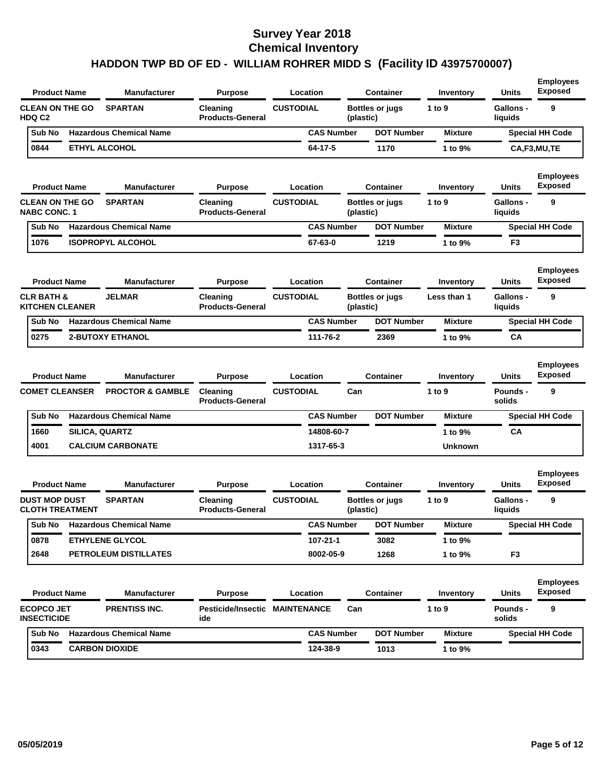| <b>Product Name</b><br>Manufacturer                              | <b>Purpose</b>                               | Location          |                                     | <b>Container</b>       | Inventory        | <b>Units</b>                | <b>Employees</b><br><b>Exposed</b> |
|------------------------------------------------------------------|----------------------------------------------|-------------------|-------------------------------------|------------------------|------------------|-----------------------------|------------------------------------|
| <b>CLEAN ON THE GO</b><br><b>SPARTAN</b><br><b>HDQ C2</b>        | Cleaning<br><b>Products-General</b>          | <b>CUSTODIAL</b>  | (plastic)                           | <b>Bottles or jugs</b> | 1 to 9           | <b>Gallons -</b><br>liquids | 9                                  |
| <b>Hazardous Chemical Name</b><br>Sub No                         |                                              | <b>CAS Number</b> |                                     | <b>DOT Number</b>      | <b>Mixture</b>   |                             | <b>Special HH Code</b>             |
| 0844<br><b>ETHYL ALCOHOL</b>                                     |                                              | 64-17-5           |                                     | 1170                   | 1 to 9%          |                             | CA,F3,MU,TE                        |
| <b>Product Name</b><br>Manufacturer                              | <b>Purpose</b>                               | Location          |                                     | <b>Container</b>       | Inventory        | Units                       | <b>Employees</b><br><b>Exposed</b> |
| <b>CLEAN ON THE GO</b><br><b>SPARTAN</b><br><b>NABC CONC. 1</b>  | Cleaning<br><b>Products-General</b>          | <b>CUSTODIAL</b>  | (plastic)                           | <b>Bottles or jugs</b> | 1 to 9           | <b>Gallons -</b><br>liquids | 9                                  |
| <b>Hazardous Chemical Name</b><br>Sub No                         |                                              | <b>CAS Number</b> |                                     | <b>DOT Number</b>      | <b>Mixture</b>   |                             | <b>Special HH Code</b>             |
| 1076<br><b>ISOPROPYL ALCOHOL</b>                                 |                                              | 67-63-0           |                                     | 1219                   | 1 to 9%          | F <sub>3</sub>              |                                    |
| <b>Manufacturer</b><br><b>Product Name</b>                       | <b>Purpose</b>                               | Location          |                                     | <b>Container</b>       | Inventory        | Units                       | <b>Employees</b><br><b>Exposed</b> |
| <b>CLR BATH &amp;</b><br><b>JELMAR</b><br><b>KITCHEN CLEANER</b> | Cleaning<br><b>Products-General</b>          | <b>CUSTODIAL</b>  | <b>Bottles or jugs</b><br>(plastic) |                        | Less than 1      | <b>Gallons -</b><br>liquids | 9                                  |
| <b>Hazardous Chemical Name</b><br>Sub No                         |                                              | <b>CAS Number</b> |                                     | <b>DOT Number</b>      | <b>Mixture</b>   |                             | <b>Special HH Code</b>             |
| 0275<br><b>2-BUTOXY ETHANOL</b>                                  |                                              | 111-76-2          |                                     | 2369                   | 1 to 9%          | CA                          |                                    |
| <b>Manufacturer</b><br><b>Product Name</b>                       | <b>Purpose</b>                               | Location          |                                     | <b>Container</b>       | Inventory        | Units                       | <b>Employees</b><br><b>Exposed</b> |
| <b>COMET CLEANSER</b><br><b>PROCTOR &amp; GAMBLE</b>             | Cleaning<br><b>Products-General</b>          | <b>CUSTODIAL</b>  | Can                                 |                        | 1 to 9           | <b>Pounds -</b><br>solids   | 9                                  |
| <b>Hazardous Chemical Name</b><br>Sub No                         |                                              | <b>CAS Number</b> |                                     | <b>DOT Number</b>      | <b>Mixture</b>   |                             | <b>Special HH Code</b>             |
| 1660<br>SILICA, QUARTZ                                           |                                              | 14808-60-7        |                                     |                        | 1 to 9%          | CA                          |                                    |
| 4001<br><b>CALCIUM CARBONATE</b>                                 |                                              | 1317-65-3         |                                     |                        | <b>Unknown</b>   |                             |                                    |
| <b>Product Name</b><br><b>Manufacturer</b>                       | <b>Purpose</b>                               | Location          |                                     | <b>Container</b>       | Inventory        | Units                       | <b>Employees</b><br>Exposed        |
| <b>SPARTAN</b><br><b>DUST MOP DUST</b><br><b>CLOTH TREATMENT</b> | Cleaning<br><b>Products-General</b>          | <b>CUSTODIAL</b>  | (plastic)                           | <b>Bottles or jugs</b> | 1 to $9$         | <b>Gallons -</b><br>liquids | 9                                  |
| Sub No<br><b>Hazardous Chemical Name</b>                         |                                              | <b>CAS Number</b> |                                     | <b>DOT Number</b>      | <b>Mixture</b>   |                             | <b>Special HH Code</b>             |
| <b>ETHYLENE GLYCOL</b><br>0878                                   |                                              | 107-21-1          |                                     | 3082                   | 1 to 9%          |                             |                                    |
| 2648<br>PETROLEUM DISTILLATES                                    |                                              | 8002-05-9         |                                     | 1268                   | 1 to 9%          | F <sub>3</sub>              |                                    |
| <b>Product Name</b><br><b>Manufacturer</b>                       | <b>Purpose</b>                               | Location          |                                     | <b>Container</b>       | <b>Inventory</b> | <b>Units</b>                | <b>Employees</b><br><b>Exposed</b> |
| <b>ECOPCO JET</b><br>PRENTISS INC.<br><b>INSECTICIDE</b>         | <b>Pesticide/Insectic MAINTENANCE</b><br>ide |                   | Can                                 |                        | 1 to 9           | <b>Pounds -</b><br>solids   | 9                                  |
|                                                                  |                                              |                   |                                     |                        |                  |                             |                                    |
| <b>Hazardous Chemical Name</b><br>Sub No                         |                                              | <b>CAS Number</b> |                                     | <b>DOT Number</b>      | <b>Mixture</b>   |                             | <b>Special HH Code</b>             |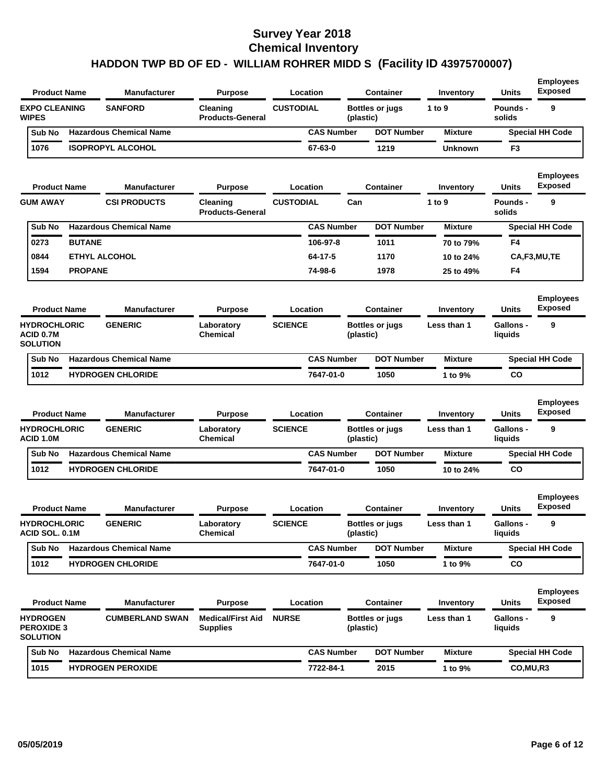| <b>CUSTODIAL</b><br><b>EXPO CLEANING</b><br><b>SANFORD</b><br>9<br>Cleaning<br><b>Bottles or jugs</b><br>1 to 9<br><b>Pounds -</b><br><b>WIPES</b><br><b>Products-General</b><br>solids<br>(plastic)<br><b>Hazardous Chemical Name</b><br><b>CAS Number</b><br>Sub No<br><b>DOT Number</b><br><b>Mixture</b><br><b>Special HH Code</b><br>1076<br><b>ISOPROPYL ALCOHOL</b><br>67-63-0<br>1219<br>F3<br>Unknown<br><b>Exposed</b><br><b>Product Name</b><br>Manufacturer<br><b>Purpose</b><br>Location<br>Container<br>Units<br>Inventory<br><b>CUSTODIAL</b><br>9<br><b>GUM AWAY</b><br><b>CSI PRODUCTS</b><br>Can<br>1 to 9<br>Pounds -<br>Cleaning<br><b>Products-General</b><br>solids<br><b>Hazardous Chemical Name</b><br><b>CAS Number</b><br><b>DOT Number</b><br>Sub No<br><b>Mixture</b><br><b>Special HH Code</b><br><b>BUTANE</b><br>0273<br>106-97-8<br>1011<br>F4<br>70 to 79%<br>0844<br><b>ETHYL ALCOHOL</b><br>64-17-5<br>1170<br>10 to 24%<br>CA,F3,MU,TE<br>1594<br><b>PROPANE</b><br>74-98-6<br>1978<br>F4<br>25 to 49%<br><b>Exposed</b><br><b>Product Name</b><br><b>Manufacturer</b><br><b>Purpose</b><br>Location<br><b>Container</b><br>Units<br>Inventory<br>9<br><b>HYDROCHLORIC</b><br><b>GENERIC</b><br>Laboratory<br><b>SCIENCE</b><br><b>Bottles or jugs</b><br>Less than 1<br><b>Gallons -</b><br>ACID 0.7M<br><b>Chemical</b><br>(plastic)<br>liquids<br><b>SOLUTION</b><br><b>Special HH Code</b><br>Sub No<br><b>Hazardous Chemical Name</b><br><b>CAS Number</b><br><b>DOT Number</b><br><b>Mixture</b><br>1012<br><b>HYDROGEN CHLORIDE</b><br>7647-01-0<br>1050<br>1 to 9%<br>CO<br><b>Exposed</b><br><b>Product Name</b><br><b>Manufacturer</b><br>Location<br><b>Container</b><br><b>Purpose</b><br>Units<br>Inventory<br>9<br><b>HYDROCHLORIC</b><br><b>GENERIC</b><br><b>SCIENCE</b><br><b>Gallons -</b><br>Laboratory<br><b>Bottles or jugs</b><br>Less than 1<br>ACID 1.0M<br><b>Chemical</b><br>liquids<br>(plastic)<br><b>Hazardous Chemical Name</b><br><b>CAS Number</b><br><b>DOT Number</b><br><b>Special HH Code</b><br>Sub No<br>Mixture<br>1012<br><b>HYDROGEN CHLORIDE</b><br>7647-01-0<br>1050<br>CO<br>10 to 24%<br><b>Exposed</b><br><b>Product Name</b><br><b>Manufacturer</b><br>Location<br><b>Container</b><br><b>Purpose</b><br>Inventory<br>Units<br><b>GENERIC</b><br><b>SCIENCE</b><br><b>HYDROCHLORIC</b><br>Gallons -<br><b>Bottles or jugs</b><br>Laboratory<br>Less than 1<br><b>ACID SOL, 0.1M</b><br><b>Chemical</b><br>(plastic)<br>liquids<br><b>Hazardous Chemical Name</b><br><b>CAS Number</b><br><b>DOT Number</b><br>Sub No<br><b>Mixture</b><br><b>Special HH Code</b><br>1012<br><b>HYDROGEN CHLORIDE</b><br>7647-01-0<br>1050<br>CO<br>1 to 9%<br><b>Exposed</b><br><b>Product Name</b><br>Manufacturer<br><b>Purpose</b><br>Location<br><b>Container</b><br>Units<br>Inventory<br><b>Medical/First Aid</b><br>9<br><b>HYDROGEN</b><br><b>CUMBERLAND SWAN</b><br><b>NURSE</b><br><b>Bottles or jugs</b><br>Less than 1<br>Gallons -<br><b>PEROXIDE 3</b><br><b>Supplies</b><br>liquids<br>(plastic)<br><b>SOLUTION</b><br>Sub No<br><b>Hazardous Chemical Name</b><br><b>CAS Number</b><br><b>DOT Number</b><br><b>Mixture</b><br><b>Special HH Code</b><br>1015<br><b>HYDROGEN PEROXIDE</b><br>7722-84-1<br>2015<br>1 to 9%<br>CO,MU,R3 | <b>Product Name</b> |  | Manufacturer | <b>Purpose</b> | Location |  | <b>Container</b> | Inventory | <b>Units</b> | <b>Employees</b><br><b>Exposed</b> |
|-------------------------------------------------------------------------------------------------------------------------------------------------------------------------------------------------------------------------------------------------------------------------------------------------------------------------------------------------------------------------------------------------------------------------------------------------------------------------------------------------------------------------------------------------------------------------------------------------------------------------------------------------------------------------------------------------------------------------------------------------------------------------------------------------------------------------------------------------------------------------------------------------------------------------------------------------------------------------------------------------------------------------------------------------------------------------------------------------------------------------------------------------------------------------------------------------------------------------------------------------------------------------------------------------------------------------------------------------------------------------------------------------------------------------------------------------------------------------------------------------------------------------------------------------------------------------------------------------------------------------------------------------------------------------------------------------------------------------------------------------------------------------------------------------------------------------------------------------------------------------------------------------------------------------------------------------------------------------------------------------------------------------------------------------------------------------------------------------------------------------------------------------------------------------------------------------------------------------------------------------------------------------------------------------------------------------------------------------------------------------------------------------------------------------------------------------------------------------------------------------------------------------------------------------------------------------------------------------------------------------------------------------------------------------------------------------------------------------------------------------------------------------------------------------------------------------------------------------------------------------------------------------------------------------------------------------------------------------------------------------------------------------------------------------------------------------------------------------------------------------------------------------------------------------------------------------------------------------------------------------------------------------------------------------------------------------|---------------------|--|--------------|----------------|----------|--|------------------|-----------|--------------|------------------------------------|
|                                                                                                                                                                                                                                                                                                                                                                                                                                                                                                                                                                                                                                                                                                                                                                                                                                                                                                                                                                                                                                                                                                                                                                                                                                                                                                                                                                                                                                                                                                                                                                                                                                                                                                                                                                                                                                                                                                                                                                                                                                                                                                                                                                                                                                                                                                                                                                                                                                                                                                                                                                                                                                                                                                                                                                                                                                                                                                                                                                                                                                                                                                                                                                                                                                                                                                                         |                     |  |              |                |          |  |                  |           |              |                                    |
|                                                                                                                                                                                                                                                                                                                                                                                                                                                                                                                                                                                                                                                                                                                                                                                                                                                                                                                                                                                                                                                                                                                                                                                                                                                                                                                                                                                                                                                                                                                                                                                                                                                                                                                                                                                                                                                                                                                                                                                                                                                                                                                                                                                                                                                                                                                                                                                                                                                                                                                                                                                                                                                                                                                                                                                                                                                                                                                                                                                                                                                                                                                                                                                                                                                                                                                         |                     |  |              |                |          |  |                  |           |              |                                    |
|                                                                                                                                                                                                                                                                                                                                                                                                                                                                                                                                                                                                                                                                                                                                                                                                                                                                                                                                                                                                                                                                                                                                                                                                                                                                                                                                                                                                                                                                                                                                                                                                                                                                                                                                                                                                                                                                                                                                                                                                                                                                                                                                                                                                                                                                                                                                                                                                                                                                                                                                                                                                                                                                                                                                                                                                                                                                                                                                                                                                                                                                                                                                                                                                                                                                                                                         |                     |  |              |                |          |  |                  |           |              |                                    |
|                                                                                                                                                                                                                                                                                                                                                                                                                                                                                                                                                                                                                                                                                                                                                                                                                                                                                                                                                                                                                                                                                                                                                                                                                                                                                                                                                                                                                                                                                                                                                                                                                                                                                                                                                                                                                                                                                                                                                                                                                                                                                                                                                                                                                                                                                                                                                                                                                                                                                                                                                                                                                                                                                                                                                                                                                                                                                                                                                                                                                                                                                                                                                                                                                                                                                                                         |                     |  |              |                |          |  |                  |           |              | <b>Employees</b>                   |
|                                                                                                                                                                                                                                                                                                                                                                                                                                                                                                                                                                                                                                                                                                                                                                                                                                                                                                                                                                                                                                                                                                                                                                                                                                                                                                                                                                                                                                                                                                                                                                                                                                                                                                                                                                                                                                                                                                                                                                                                                                                                                                                                                                                                                                                                                                                                                                                                                                                                                                                                                                                                                                                                                                                                                                                                                                                                                                                                                                                                                                                                                                                                                                                                                                                                                                                         |                     |  |              |                |          |  |                  |           |              |                                    |
|                                                                                                                                                                                                                                                                                                                                                                                                                                                                                                                                                                                                                                                                                                                                                                                                                                                                                                                                                                                                                                                                                                                                                                                                                                                                                                                                                                                                                                                                                                                                                                                                                                                                                                                                                                                                                                                                                                                                                                                                                                                                                                                                                                                                                                                                                                                                                                                                                                                                                                                                                                                                                                                                                                                                                                                                                                                                                                                                                                                                                                                                                                                                                                                                                                                                                                                         |                     |  |              |                |          |  |                  |           |              |                                    |
|                                                                                                                                                                                                                                                                                                                                                                                                                                                                                                                                                                                                                                                                                                                                                                                                                                                                                                                                                                                                                                                                                                                                                                                                                                                                                                                                                                                                                                                                                                                                                                                                                                                                                                                                                                                                                                                                                                                                                                                                                                                                                                                                                                                                                                                                                                                                                                                                                                                                                                                                                                                                                                                                                                                                                                                                                                                                                                                                                                                                                                                                                                                                                                                                                                                                                                                         |                     |  |              |                |          |  |                  |           |              |                                    |
|                                                                                                                                                                                                                                                                                                                                                                                                                                                                                                                                                                                                                                                                                                                                                                                                                                                                                                                                                                                                                                                                                                                                                                                                                                                                                                                                                                                                                                                                                                                                                                                                                                                                                                                                                                                                                                                                                                                                                                                                                                                                                                                                                                                                                                                                                                                                                                                                                                                                                                                                                                                                                                                                                                                                                                                                                                                                                                                                                                                                                                                                                                                                                                                                                                                                                                                         |                     |  |              |                |          |  |                  |           |              |                                    |
|                                                                                                                                                                                                                                                                                                                                                                                                                                                                                                                                                                                                                                                                                                                                                                                                                                                                                                                                                                                                                                                                                                                                                                                                                                                                                                                                                                                                                                                                                                                                                                                                                                                                                                                                                                                                                                                                                                                                                                                                                                                                                                                                                                                                                                                                                                                                                                                                                                                                                                                                                                                                                                                                                                                                                                                                                                                                                                                                                                                                                                                                                                                                                                                                                                                                                                                         |                     |  |              |                |          |  |                  |           |              |                                    |
|                                                                                                                                                                                                                                                                                                                                                                                                                                                                                                                                                                                                                                                                                                                                                                                                                                                                                                                                                                                                                                                                                                                                                                                                                                                                                                                                                                                                                                                                                                                                                                                                                                                                                                                                                                                                                                                                                                                                                                                                                                                                                                                                                                                                                                                                                                                                                                                                                                                                                                                                                                                                                                                                                                                                                                                                                                                                                                                                                                                                                                                                                                                                                                                                                                                                                                                         |                     |  |              |                |          |  |                  |           |              | <b>Employees</b>                   |
|                                                                                                                                                                                                                                                                                                                                                                                                                                                                                                                                                                                                                                                                                                                                                                                                                                                                                                                                                                                                                                                                                                                                                                                                                                                                                                                                                                                                                                                                                                                                                                                                                                                                                                                                                                                                                                                                                                                                                                                                                                                                                                                                                                                                                                                                                                                                                                                                                                                                                                                                                                                                                                                                                                                                                                                                                                                                                                                                                                                                                                                                                                                                                                                                                                                                                                                         |                     |  |              |                |          |  |                  |           |              |                                    |
|                                                                                                                                                                                                                                                                                                                                                                                                                                                                                                                                                                                                                                                                                                                                                                                                                                                                                                                                                                                                                                                                                                                                                                                                                                                                                                                                                                                                                                                                                                                                                                                                                                                                                                                                                                                                                                                                                                                                                                                                                                                                                                                                                                                                                                                                                                                                                                                                                                                                                                                                                                                                                                                                                                                                                                                                                                                                                                                                                                                                                                                                                                                                                                                                                                                                                                                         |                     |  |              |                |          |  |                  |           |              |                                    |
|                                                                                                                                                                                                                                                                                                                                                                                                                                                                                                                                                                                                                                                                                                                                                                                                                                                                                                                                                                                                                                                                                                                                                                                                                                                                                                                                                                                                                                                                                                                                                                                                                                                                                                                                                                                                                                                                                                                                                                                                                                                                                                                                                                                                                                                                                                                                                                                                                                                                                                                                                                                                                                                                                                                                                                                                                                                                                                                                                                                                                                                                                                                                                                                                                                                                                                                         |                     |  |              |                |          |  |                  |           |              |                                    |
|                                                                                                                                                                                                                                                                                                                                                                                                                                                                                                                                                                                                                                                                                                                                                                                                                                                                                                                                                                                                                                                                                                                                                                                                                                                                                                                                                                                                                                                                                                                                                                                                                                                                                                                                                                                                                                                                                                                                                                                                                                                                                                                                                                                                                                                                                                                                                                                                                                                                                                                                                                                                                                                                                                                                                                                                                                                                                                                                                                                                                                                                                                                                                                                                                                                                                                                         |                     |  |              |                |          |  |                  |           |              | <b>Employees</b>                   |
|                                                                                                                                                                                                                                                                                                                                                                                                                                                                                                                                                                                                                                                                                                                                                                                                                                                                                                                                                                                                                                                                                                                                                                                                                                                                                                                                                                                                                                                                                                                                                                                                                                                                                                                                                                                                                                                                                                                                                                                                                                                                                                                                                                                                                                                                                                                                                                                                                                                                                                                                                                                                                                                                                                                                                                                                                                                                                                                                                                                                                                                                                                                                                                                                                                                                                                                         |                     |  |              |                |          |  |                  |           |              |                                    |
|                                                                                                                                                                                                                                                                                                                                                                                                                                                                                                                                                                                                                                                                                                                                                                                                                                                                                                                                                                                                                                                                                                                                                                                                                                                                                                                                                                                                                                                                                                                                                                                                                                                                                                                                                                                                                                                                                                                                                                                                                                                                                                                                                                                                                                                                                                                                                                                                                                                                                                                                                                                                                                                                                                                                                                                                                                                                                                                                                                                                                                                                                                                                                                                                                                                                                                                         |                     |  |              |                |          |  |                  |           |              |                                    |
|                                                                                                                                                                                                                                                                                                                                                                                                                                                                                                                                                                                                                                                                                                                                                                                                                                                                                                                                                                                                                                                                                                                                                                                                                                                                                                                                                                                                                                                                                                                                                                                                                                                                                                                                                                                                                                                                                                                                                                                                                                                                                                                                                                                                                                                                                                                                                                                                                                                                                                                                                                                                                                                                                                                                                                                                                                                                                                                                                                                                                                                                                                                                                                                                                                                                                                                         |                     |  |              |                |          |  |                  |           |              |                                    |
|                                                                                                                                                                                                                                                                                                                                                                                                                                                                                                                                                                                                                                                                                                                                                                                                                                                                                                                                                                                                                                                                                                                                                                                                                                                                                                                                                                                                                                                                                                                                                                                                                                                                                                                                                                                                                                                                                                                                                                                                                                                                                                                                                                                                                                                                                                                                                                                                                                                                                                                                                                                                                                                                                                                                                                                                                                                                                                                                                                                                                                                                                                                                                                                                                                                                                                                         |                     |  |              |                |          |  |                  |           |              | <b>Employees</b>                   |
|                                                                                                                                                                                                                                                                                                                                                                                                                                                                                                                                                                                                                                                                                                                                                                                                                                                                                                                                                                                                                                                                                                                                                                                                                                                                                                                                                                                                                                                                                                                                                                                                                                                                                                                                                                                                                                                                                                                                                                                                                                                                                                                                                                                                                                                                                                                                                                                                                                                                                                                                                                                                                                                                                                                                                                                                                                                                                                                                                                                                                                                                                                                                                                                                                                                                                                                         |                     |  |              |                |          |  |                  |           |              |                                    |
|                                                                                                                                                                                                                                                                                                                                                                                                                                                                                                                                                                                                                                                                                                                                                                                                                                                                                                                                                                                                                                                                                                                                                                                                                                                                                                                                                                                                                                                                                                                                                                                                                                                                                                                                                                                                                                                                                                                                                                                                                                                                                                                                                                                                                                                                                                                                                                                                                                                                                                                                                                                                                                                                                                                                                                                                                                                                                                                                                                                                                                                                                                                                                                                                                                                                                                                         |                     |  |              |                |          |  |                  |           |              |                                    |
|                                                                                                                                                                                                                                                                                                                                                                                                                                                                                                                                                                                                                                                                                                                                                                                                                                                                                                                                                                                                                                                                                                                                                                                                                                                                                                                                                                                                                                                                                                                                                                                                                                                                                                                                                                                                                                                                                                                                                                                                                                                                                                                                                                                                                                                                                                                                                                                                                                                                                                                                                                                                                                                                                                                                                                                                                                                                                                                                                                                                                                                                                                                                                                                                                                                                                                                         |                     |  |              |                |          |  |                  |           |              |                                    |
|                                                                                                                                                                                                                                                                                                                                                                                                                                                                                                                                                                                                                                                                                                                                                                                                                                                                                                                                                                                                                                                                                                                                                                                                                                                                                                                                                                                                                                                                                                                                                                                                                                                                                                                                                                                                                                                                                                                                                                                                                                                                                                                                                                                                                                                                                                                                                                                                                                                                                                                                                                                                                                                                                                                                                                                                                                                                                                                                                                                                                                                                                                                                                                                                                                                                                                                         |                     |  |              |                |          |  |                  |           |              | <b>Employees</b>                   |
|                                                                                                                                                                                                                                                                                                                                                                                                                                                                                                                                                                                                                                                                                                                                                                                                                                                                                                                                                                                                                                                                                                                                                                                                                                                                                                                                                                                                                                                                                                                                                                                                                                                                                                                                                                                                                                                                                                                                                                                                                                                                                                                                                                                                                                                                                                                                                                                                                                                                                                                                                                                                                                                                                                                                                                                                                                                                                                                                                                                                                                                                                                                                                                                                                                                                                                                         |                     |  |              |                |          |  |                  |           |              |                                    |
|                                                                                                                                                                                                                                                                                                                                                                                                                                                                                                                                                                                                                                                                                                                                                                                                                                                                                                                                                                                                                                                                                                                                                                                                                                                                                                                                                                                                                                                                                                                                                                                                                                                                                                                                                                                                                                                                                                                                                                                                                                                                                                                                                                                                                                                                                                                                                                                                                                                                                                                                                                                                                                                                                                                                                                                                                                                                                                                                                                                                                                                                                                                                                                                                                                                                                                                         |                     |  |              |                |          |  |                  |           |              |                                    |
|                                                                                                                                                                                                                                                                                                                                                                                                                                                                                                                                                                                                                                                                                                                                                                                                                                                                                                                                                                                                                                                                                                                                                                                                                                                                                                                                                                                                                                                                                                                                                                                                                                                                                                                                                                                                                                                                                                                                                                                                                                                                                                                                                                                                                                                                                                                                                                                                                                                                                                                                                                                                                                                                                                                                                                                                                                                                                                                                                                                                                                                                                                                                                                                                                                                                                                                         |                     |  |              |                |          |  |                  |           |              |                                    |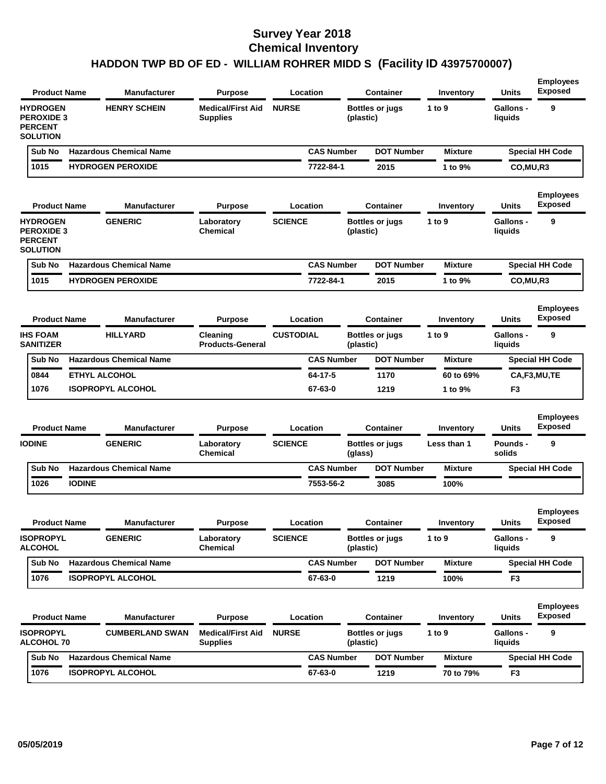| <b>Product Name</b>                                                       |               | <b>Manufacturer</b>            | <b>Purpose</b>                              | Location         |                   |           | <b>Container</b>       | Inventory      | <b>Units</b>                | <b>Exposed</b>                     |
|---------------------------------------------------------------------------|---------------|--------------------------------|---------------------------------------------|------------------|-------------------|-----------|------------------------|----------------|-----------------------------|------------------------------------|
| <b>HYDROGEN</b><br><b>PEROXIDE 3</b><br><b>PERCENT</b><br><b>SOLUTION</b> |               | <b>HENRY SCHEIN</b>            | <b>Medical/First Aid</b><br><b>Supplies</b> | <b>NURSE</b>     |                   | (plastic) | <b>Bottles or jugs</b> | 1 to $9$       | <b>Gallons -</b><br>liquids | 9                                  |
| Sub No                                                                    |               | <b>Hazardous Chemical Name</b> |                                             |                  | <b>CAS Number</b> |           | <b>DOT Number</b>      | <b>Mixture</b> |                             | <b>Special HH Code</b>             |
| 1015                                                                      |               | <b>HYDROGEN PEROXIDE</b>       |                                             |                  | 7722-84-1         |           | 2015                   | 1 to 9%        | CO, MU, R3                  |                                    |
| <b>Product Name</b>                                                       |               | <b>Manufacturer</b>            | <b>Purpose</b>                              | Location         |                   |           | Container              | Inventory      | Units                       | <b>Employees</b><br><b>Exposed</b> |
| <b>HYDROGEN</b><br><b>PEROXIDE 3</b><br><b>PERCENT</b><br><b>SOLUTION</b> |               | <b>GENERIC</b>                 | Laboratory<br>Chemical                      | <b>SCIENCE</b>   |                   | (plastic) | <b>Bottles or jugs</b> | 1 to $9$       | <b>Gallons -</b><br>liquids | 9                                  |
| Sub No                                                                    |               | <b>Hazardous Chemical Name</b> |                                             |                  | <b>CAS Number</b> |           | <b>DOT Number</b>      | <b>Mixture</b> |                             | <b>Special HH Code</b>             |
| 1015                                                                      |               | <b>HYDROGEN PEROXIDE</b>       |                                             |                  | 7722-84-1         |           | 2015                   | 1 to 9%        | CO, MU, R3                  |                                    |
| <b>Product Name</b>                                                       |               | <b>Manufacturer</b>            | <b>Purpose</b>                              | Location         |                   |           | Container              | Inventory      | <b>Units</b>                | <b>Employees</b><br><b>Exposed</b> |
| <b>IHS FOAM</b><br><b>SANITIZER</b>                                       |               | <b>HILLYARD</b>                | Cleaning<br><b>Products-General</b>         | <b>CUSTODIAL</b> |                   | (plastic) | <b>Bottles or jugs</b> | 1 to 9         | <b>Gallons -</b><br>liquids | 9                                  |
| Sub No                                                                    |               | <b>Hazardous Chemical Name</b> |                                             |                  | <b>CAS Number</b> |           | <b>DOT Number</b>      | <b>Mixture</b> |                             | <b>Special HH Code</b>             |
| 0844                                                                      |               | <b>ETHYL ALCOHOL</b>           |                                             |                  | 64-17-5           |           | 1170                   | 60 to 69%      |                             | CA,F3,MU,TE                        |
| 1076                                                                      |               | <b>ISOPROPYL ALCOHOL</b>       |                                             |                  | 67-63-0           |           | 1219                   | 1 to 9%        | F <sub>3</sub>              |                                    |
| <b>Product Name</b>                                                       |               | <b>Manufacturer</b>            | <b>Purpose</b>                              | Location         |                   |           | <b>Container</b>       | Inventory      | <b>Units</b>                | <b>Employees</b><br><b>Exposed</b> |
| <b>IODINE</b>                                                             |               | <b>GENERIC</b>                 | Laboratory<br>Chemical                      | <b>SCIENCE</b>   |                   | (glass)   | <b>Bottles or jugs</b> | Less than 1    | <b>Pounds -</b><br>solids   | 9                                  |
| Sub No                                                                    |               | <b>Hazardous Chemical Name</b> |                                             |                  | <b>CAS Number</b> |           | <b>DOT Number</b>      | <b>Mixture</b> |                             | <b>Special HH Code</b>             |
| 1026                                                                      | <b>IODINE</b> |                                |                                             |                  | 7553-56-2         |           | 3085                   | 100%           |                             |                                    |
| <b>Product Name</b>                                                       |               | <b>Manufacturer</b>            | <b>Purpose</b>                              | Location         |                   |           | Container              | Inventory      | Units                       | <b>Employees</b><br><b>Exposed</b> |
| <b>ISOPROPYL</b><br><b>ALCOHOL</b>                                        |               | <b>GENERIC</b>                 | Laboratory<br>Chemical                      | <b>SCIENCE</b>   |                   | (plastic) | <b>Bottles or jugs</b> | 1 to $9$       | <b>Gallons -</b><br>liquids | 9                                  |
| Sub No                                                                    |               | <b>Hazardous Chemical Name</b> |                                             |                  | <b>CAS Number</b> |           | <b>DOT Number</b>      | <b>Mixture</b> |                             | <b>Special HH Code</b>             |
| 1076                                                                      |               | <b>ISOPROPYL ALCOHOL</b>       |                                             |                  | 67-63-0           |           | 1219                   | 100%           | F <sub>3</sub>              |                                    |
| <b>Product Name</b>                                                       |               | <b>Manufacturer</b>            | <b>Purpose</b>                              | Location         |                   |           | <b>Container</b>       | Inventory      | Units                       | <b>Employees</b><br><b>Exposed</b> |
| <b>ISOPROPYL</b><br><b>ALCOHOL 70</b>                                     |               | <b>CUMBERLAND SWAN</b>         | <b>Medical/First Aid</b><br><b>Supplies</b> | <b>NURSE</b>     |                   | (plastic) | <b>Bottles or jugs</b> | 1 to $9$       | <b>Gallons -</b><br>liquids | 9                                  |
| Sub No                                                                    |               | <b>Hazardous Chemical Name</b> |                                             |                  | <b>CAS Number</b> |           | <b>DOT Number</b>      | <b>Mixture</b> |                             | <b>Special HH Code</b>             |
|                                                                           |               |                                |                                             |                  |                   |           |                        |                |                             |                                    |

**Employees**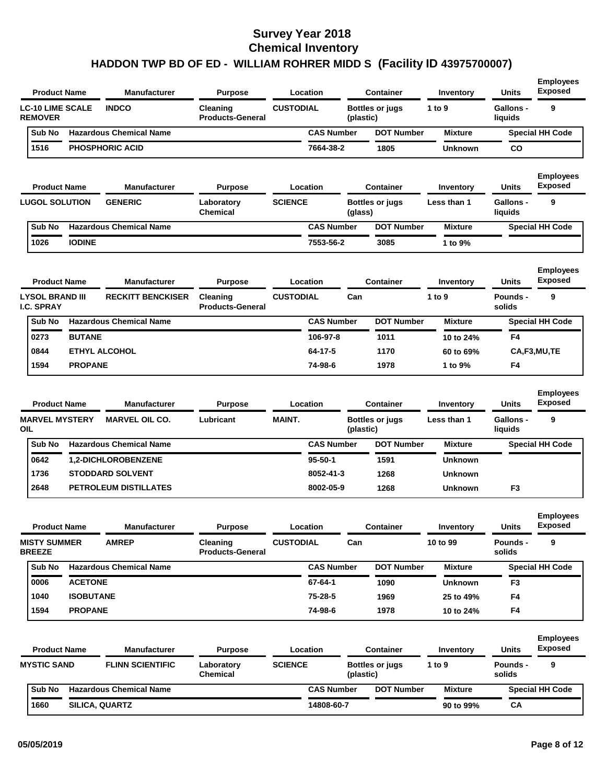| <b>Product Name</b>                         |                  | <b>Manufacturer</b>            | <b>Purpose</b>                      |                  | Location          |           | <b>Container</b>       | Inventory      | <b>Units</b>                | <b>Employees</b><br><b>Exposed</b> |
|---------------------------------------------|------------------|--------------------------------|-------------------------------------|------------------|-------------------|-----------|------------------------|----------------|-----------------------------|------------------------------------|
| <b>LC-10 LIME SCALE</b><br><b>REMOVER</b>   |                  | <b>INDCO</b>                   | Cleaning<br><b>Products-General</b> | <b>CUSTODIAL</b> |                   | (plastic) | <b>Bottles or jugs</b> | 1 to 9         | <b>Gallons -</b><br>liquids | 9                                  |
| Sub No                                      |                  | <b>Hazardous Chemical Name</b> |                                     |                  | <b>CAS Number</b> |           | <b>DOT Number</b>      | <b>Mixture</b> |                             | <b>Special HH Code</b>             |
| 1516                                        |                  | <b>PHOSPHORIC ACID</b>         |                                     |                  | 7664-38-2         |           | 1805                   | <b>Unknown</b> | <b>CO</b>                   |                                    |
| <b>Product Name</b>                         |                  | <b>Manufacturer</b>            | <b>Purpose</b>                      |                  | Location          |           | <b>Container</b>       | Inventory      | <b>Units</b>                | <b>Employees</b><br><b>Exposed</b> |
| <b>LUGOL SOLUTION</b>                       |                  | <b>GENERIC</b>                 | Laboratory<br><b>Chemical</b>       | <b>SCIENCE</b>   |                   | (glass)   | <b>Bottles or jugs</b> | Less than 1    | <b>Gallons -</b><br>liquids | 9                                  |
| Sub No                                      |                  | <b>Hazardous Chemical Name</b> |                                     |                  | <b>CAS Number</b> |           | <b>DOT Number</b>      | <b>Mixture</b> |                             | <b>Special HH Code</b>             |
| 1026                                        | <b>IODINE</b>    |                                |                                     |                  | 7553-56-2         |           | 3085                   | 1 to 9%        |                             |                                    |
| <b>Product Name</b>                         |                  | <b>Manufacturer</b>            | <b>Purpose</b>                      |                  | Location          |           | <b>Container</b>       | Inventory      | <b>Units</b>                | <b>Employees</b><br><b>Exposed</b> |
| <b>LYSOL BRAND III</b><br><b>I.C. SPRAY</b> |                  | <b>RECKITT BENCKISER</b>       | Cleaning<br><b>Products-General</b> | <b>CUSTODIAL</b> |                   | Can       |                        | 1 to 9         | Pounds -<br>solids          | 9                                  |
| Sub No                                      |                  | <b>Hazardous Chemical Name</b> |                                     |                  | <b>CAS Number</b> |           | <b>DOT Number</b>      | <b>Mixture</b> |                             | <b>Special HH Code</b>             |
| 0273                                        | <b>BUTANE</b>    |                                |                                     |                  | 106-97-8          |           | 1011                   | 10 to 24%      | F4                          |                                    |
| 0844                                        |                  | <b>ETHYL ALCOHOL</b>           |                                     |                  | 64-17-5           |           | 1170                   | 60 to 69%      |                             | CA,F3,MU,TE                        |
| 1594                                        | <b>PROPANE</b>   |                                |                                     |                  | 74-98-6           |           | 1978                   | 1 to 9%        | F4                          |                                    |
| <b>Product Name</b>                         |                  | <b>Manufacturer</b>            | <b>Purpose</b>                      |                  | Location          |           | <b>Container</b>       | Inventory      | <b>Units</b>                | <b>Employees</b><br><b>Exposed</b> |
| <b>MARVEL MYSTERY</b>                       |                  | <b>MARVEL OIL CO.</b>          | Lubricant                           | <b>MAINT.</b>    |                   |           | <b>Bottles or jugs</b> | Less than 1    | <b>Gallons -</b>            | 9                                  |
| OIL                                         |                  |                                |                                     |                  |                   | (plastic) |                        |                | liquids                     |                                    |
| Sub No                                      |                  | <b>Hazardous Chemical Name</b> |                                     |                  | <b>CAS Number</b> |           | <b>DOT Number</b>      | <b>Mixture</b> |                             | <b>Special HH Code</b>             |
| 0642                                        |                  | <b>1,2-DICHLOROBENZENE</b>     |                                     |                  | $95 - 50 - 1$     |           | 1591                   | <b>Unknown</b> |                             |                                    |
| 1736                                        |                  | <b>STODDARD SOLVENT</b>        |                                     |                  | 8052-41-3         |           | 1268                   | <b>Unknown</b> |                             |                                    |
| 2648                                        |                  | <b>PETROLEUM DISTILLATES</b>   |                                     |                  | 8002-05-9         |           | 1268                   | Unknown        | F3                          |                                    |
| <b>Product Name</b>                         |                  | <b>Manufacturer</b>            | <b>Purpose</b>                      |                  | Location          |           | <b>Container</b>       | Inventory      | <b>Units</b>                | <b>Employees</b><br><b>Exposed</b> |
| <b>MISTY SUMMER</b><br><b>BREEZE</b>        |                  | <b>AMREP</b>                   | Cleaning<br><b>Products-General</b> | <b>CUSTODIAL</b> |                   | Can       |                        | 10 to 99       | Pounds -<br>solids          | 9                                  |
| Sub No                                      |                  | <b>Hazardous Chemical Name</b> |                                     |                  | <b>CAS Number</b> |           | <b>DOT Number</b>      | <b>Mixture</b> |                             | <b>Special HH Code</b>             |
| 0006                                        | <b>ACETONE</b>   |                                |                                     |                  | 67-64-1           |           | 1090                   | Unknown        | F3                          |                                    |
| 1040                                        | <b>ISOBUTANE</b> |                                |                                     |                  | 75-28-5           |           | 1969                   | 25 to 49%      | F4                          |                                    |
| 1594                                        | <b>PROPANE</b>   |                                |                                     |                  | 74-98-6           |           | 1978                   | 10 to 24%      | F4                          |                                    |
| <b>Product Name</b>                         |                  | <b>Manufacturer</b>            | <b>Purpose</b>                      |                  | Location          |           | <b>Container</b>       | Inventory      | <b>Units</b>                | <b>Employees</b><br><b>Exposed</b> |
| <b>MYSTIC SAND</b>                          |                  | <b>FLINN SCIENTIFIC</b>        | Laboratory<br>Chemical              | <b>SCIENCE</b>   |                   | (plastic) | <b>Bottles or jugs</b> | 1 to 9         | <b>Pounds -</b><br>solids   | 9                                  |
| Sub No                                      |                  | <b>Hazardous Chemical Name</b> |                                     |                  | <b>CAS Number</b> |           | <b>DOT Number</b>      | <b>Mixture</b> |                             | <b>Special HH Code</b>             |
| 1660                                        |                  | SILICA, QUARTZ                 |                                     |                  | 14808-60-7        |           |                        | 90 to 99%      | CA                          |                                    |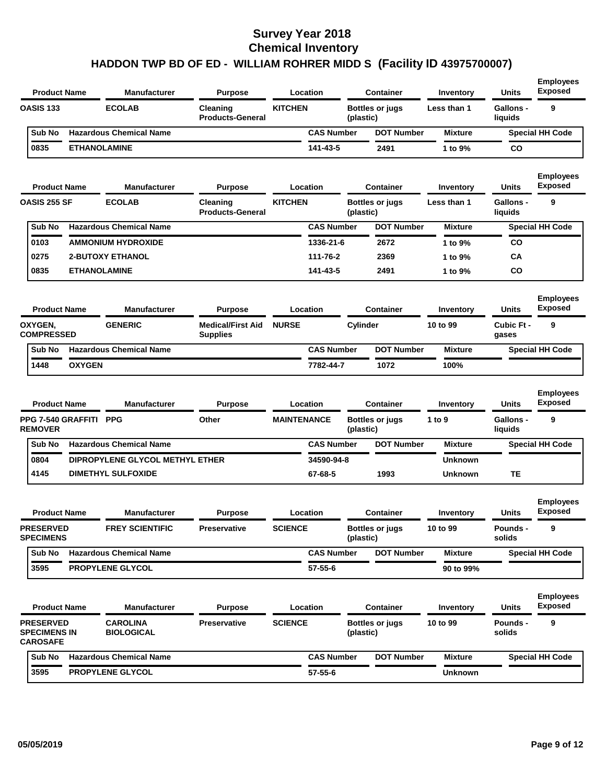| <b>OASIS 133</b><br><b>ECOLAB</b><br><b>KITCHEN</b><br>Cleaning<br><b>Bottles or jugs</b><br>Less than 1<br><b>Products-General</b><br>(plastic)                                                                          | <b>Gallons -</b>                 |                                         |
|---------------------------------------------------------------------------------------------------------------------------------------------------------------------------------------------------------------------------|----------------------------------|-----------------------------------------|
|                                                                                                                                                                                                                           | liquids                          | 9                                       |
| <b>CAS Number</b><br><b>Hazardous Chemical Name</b><br><b>DOT Number</b><br>Sub No<br><b>Mixture</b>                                                                                                                      |                                  | <b>Special HH Code</b>                  |
| 0835<br><b>ETHANOLAMINE</b><br>141-43-5<br>2491<br>1 to 9%                                                                                                                                                                | CO                               |                                         |
| <b>Product Name</b><br><b>Manufacturer</b><br>Location<br><b>Container</b><br><b>Purpose</b><br>Inventory                                                                                                                 | <b>Units</b>                     | <b>Employees</b><br><b>Exposed</b>      |
| <b>OASIS 255 SF</b><br><b>ECOLAB</b><br><b>KITCHEN</b><br><b>Bottles or jugs</b><br>Cleaning<br>Less than 1<br><b>Products-General</b><br>(plastic)                                                                       | <b>Gallons -</b><br>liquids      | 9                                       |
| <b>CAS Number</b><br><b>DOT Number</b><br>Sub No<br><b>Hazardous Chemical Name</b><br><b>Mixture</b>                                                                                                                      |                                  | <b>Special HH Code</b>                  |
| 0103<br><b>AMMONIUM HYDROXIDE</b><br>1336-21-6<br>2672<br>1 to 9%                                                                                                                                                         | <b>CO</b>                        |                                         |
| 0275<br><b>2-BUTOXY ETHANOL</b><br>111-76-2<br>2369<br>1 to 9%                                                                                                                                                            | CA                               |                                         |
| 0835<br><b>ETHANOLAMINE</b><br>141-43-5<br>2491<br>1 to 9%                                                                                                                                                                | <b>CO</b>                        |                                         |
| <b>Product Name</b><br><b>Manufacturer</b><br><b>Purpose</b><br>Location<br><b>Container</b><br>Inventory                                                                                                                 | <b>Units</b>                     | <b>Employees</b><br><b>Exposed</b>      |
| <b>GENERIC</b><br><b>Medical/First Aid</b><br><b>NURSE</b><br>Cylinder<br>OXYGEN,<br>10 to 99<br><b>COMPRESSED</b><br><b>Supplies</b>                                                                                     | Cubic Ft -<br>gases              | 9                                       |
| <b>Hazardous Chemical Name</b><br><b>CAS Number</b><br><b>DOT Number</b><br>Sub No<br><b>Mixture</b>                                                                                                                      |                                  | <b>Special HH Code</b>                  |
| <b>OXYGEN</b><br>1448<br>7782-44-7<br>1072<br>100%                                                                                                                                                                        |                                  |                                         |
| Location<br><b>Product Name</b><br><b>Manufacturer</b><br><b>Purpose</b><br><b>Container</b><br>Inventory<br><b>PPG</b><br><b>PPG 7-540 GRAFFITI</b><br>Other<br><b>MAINTENANCE</b><br><b>Bottles or jugs</b><br>1 to $9$ | <b>Units</b><br><b>Gallons -</b> | <b>Employees</b><br><b>Exposed</b><br>9 |
| <b>REMOVER</b><br>(plastic)                                                                                                                                                                                               | liquids                          |                                         |
| <b>Hazardous Chemical Name</b><br>Sub No<br><b>CAS Number</b><br><b>DOT Number</b><br><b>Mixture</b>                                                                                                                      |                                  | <b>Special HH Code</b>                  |
| 0804<br>DIPROPYLENE GLYCOL METHYL ETHER<br>34590-94-8<br><b>Unknown</b>                                                                                                                                                   |                                  |                                         |
| 4145<br>67-68-5<br><b>DIMETHYL SULFOXIDE</b><br>1993<br><b>Unknown</b>                                                                                                                                                    | TЕ                               |                                         |
| <b>Product Name</b><br><b>Manufacturer</b><br><b>Purpose</b><br>Location<br>Container<br>Inventory                                                                                                                        | <b>Units</b>                     | <b>Employees</b><br>Exposed             |
| <b>PRESERVED</b><br><b>FREY SCIENTIFIC</b><br>Preservative<br><b>SCIENCE</b><br><b>Bottles or jugs</b><br>10 to 99<br><b>SPECIMENS</b><br>(plastic)                                                                       | Pounds -<br>solids               | 9                                       |
| <b>Hazardous Chemical Name</b><br><b>CAS Number</b><br><b>DOT Number</b><br>Sub No<br><b>Mixture</b>                                                                                                                      |                                  | <b>Special HH Code</b>                  |
| 3595<br><b>PROPYLENE GLYCOL</b><br>$57 - 55 - 6$<br>90 to 99%                                                                                                                                                             |                                  |                                         |
| <b>Product Name</b><br><b>Manufacturer</b><br>Location<br><b>Container</b><br><b>Purpose</b><br>Inventory                                                                                                                 | <b>Units</b>                     | <b>Employees</b><br><b>Exposed</b>      |
| <b>PRESERVED</b><br><b>CAROLINA</b><br><b>SCIENCE</b><br>10 to 99<br><b>Preservative</b><br><b>Bottles or jugs</b>                                                                                                        | <b>Pounds -</b><br>solids        | 9                                       |
| <b>BIOLOGICAL</b><br><b>SPECIMENS IN</b><br>(plastic)<br><b>CAROSAFE</b>                                                                                                                                                  |                                  |                                         |
| <b>Hazardous Chemical Name</b><br><b>CAS Number</b><br><b>DOT Number</b><br>Sub No<br><b>Mixture</b>                                                                                                                      |                                  | <b>Special HH Code</b>                  |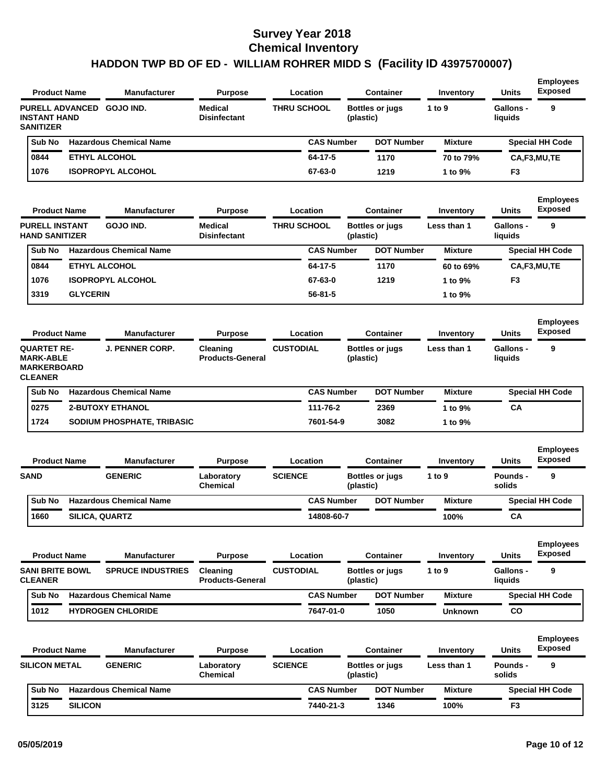| <b>Product Name</b>                                                            |                     | Manufacturer                   | <b>Purpose</b>                        |                    | Location          |           | <b>Container</b>       | Inventory      | <b>Units</b>                | <b>Employees</b><br><b>Exposed</b> |
|--------------------------------------------------------------------------------|---------------------|--------------------------------|---------------------------------------|--------------------|-------------------|-----------|------------------------|----------------|-----------------------------|------------------------------------|
| <b>PURELL ADVANCED</b><br><b>INSTANT HAND</b><br><b>SANITIZER</b>              |                     | GOJO IND.                      | <b>Medical</b><br><b>Disinfectant</b> | <b>THRU SCHOOL</b> |                   | (plastic) | <b>Bottles or jugs</b> | 1 to 9         | <b>Gallons -</b><br>liquids | 9                                  |
| Sub No                                                                         |                     | <b>Hazardous Chemical Name</b> |                                       |                    | <b>CAS Number</b> |           | <b>DOT Number</b>      | <b>Mixture</b> |                             | <b>Special HH Code</b>             |
| 0844                                                                           |                     | <b>ETHYL ALCOHOL</b>           |                                       |                    | 64-17-5           |           | 1170                   | 70 to 79%      |                             | CA,F3,MU,TE                        |
| 1076                                                                           |                     | <b>ISOPROPYL ALCOHOL</b>       |                                       |                    | 67-63-0           |           | 1219                   | 1 to 9%        | F3                          |                                    |
| <b>Product Name</b>                                                            |                     | Manufacturer                   | <b>Purpose</b>                        |                    | Location          |           | <b>Container</b>       | Inventory      | Units                       | <b>Employees</b><br><b>Exposed</b> |
| <b>PURELL INSTANT</b><br><b>HAND SANITIZER</b>                                 |                     | GOJO IND.                      | <b>Medical</b><br><b>Disinfectant</b> | <b>THRU SCHOOL</b> |                   | (plastic) | <b>Bottles or jugs</b> | Less than 1    | <b>Gallons -</b><br>liquids | 9                                  |
| Sub No                                                                         |                     | <b>Hazardous Chemical Name</b> |                                       |                    | <b>CAS Number</b> |           | <b>DOT Number</b>      | <b>Mixture</b> |                             | <b>Special HH Code</b>             |
| 0844                                                                           |                     | <b>ETHYL ALCOHOL</b>           |                                       |                    | 64-17-5           |           | 1170                   | 60 to 69%      |                             | CA,F3,MU,TE                        |
| 1076                                                                           |                     | <b>ISOPROPYL ALCOHOL</b>       |                                       |                    | 67-63-0           |           | 1219                   | 1 to 9%        | F3                          |                                    |
| 3319                                                                           | <b>GLYCERIN</b>     |                                |                                       |                    | $56 - 81 - 5$     |           |                        | 1 to 9%        |                             |                                    |
| <b>Product Name</b>                                                            |                     | <b>Manufacturer</b>            | <b>Purpose</b>                        |                    | Location          |           | <b>Container</b>       | Inventory      | <b>Units</b>                | <b>Employees</b><br><b>Exposed</b> |
| <b>QUARTET RE-</b><br><b>MARK-ABLE</b><br><b>MARKERBOARD</b><br><b>CLEANER</b> |                     | <b>J. PENNER CORP.</b>         | Cleaning<br><b>Products-General</b>   | <b>CUSTODIAL</b>   |                   | (plastic) | <b>Bottles or jugs</b> | Less than 1    | <b>Gallons -</b><br>liquids | 9                                  |
| Sub No                                                                         |                     | <b>Hazardous Chemical Name</b> |                                       |                    | <b>CAS Number</b> |           | <b>DOT Number</b>      | <b>Mixture</b> |                             | <b>Special HH Code</b>             |
| 0275                                                                           |                     | <b>2-BUTOXY ETHANOL</b>        |                                       |                    | 111-76-2          |           | 2369                   | 1 to 9%        | CA                          |                                    |
| 1724                                                                           |                     | SODIUM PHOSPHATE, TRIBASIC     |                                       |                    | 7601-54-9         |           | 3082                   | 1 to 9%        |                             |                                    |
| <b>Product Name</b>                                                            |                     | <b>Manufacturer</b>            | <b>Purpose</b>                        |                    | Location          |           | <b>Container</b>       | Inventory      | <b>Units</b>                | <b>Employees</b><br><b>Exposed</b> |
| <b>SAND</b>                                                                    |                     | <b>GENERIC</b>                 | Laboratory<br><b>Chemical</b>         | <b>SCIENCE</b>     |                   | (plastic) | <b>Bottles or jugs</b> | 1 to 9         | Pounds -<br>solids          | 9                                  |
| Sub No                                                                         |                     | <b>Hazardous Chemical Name</b> |                                       |                    | <b>CAS Number</b> |           | <b>DOT Number</b>      | <b>Mixture</b> |                             | <b>Special HH Code</b>             |
| 1660                                                                           |                     | SILICA, QUARTZ                 |                                       |                    | 14808-60-7        |           |                        | 100%           | CА                          |                                    |
|                                                                                | <b>Product Name</b> | <b>Manufacturer</b>            | <b>Purpose</b>                        |                    | <b>Location</b>   |           | <b>Container</b>       | Inventory      | <b>Units</b>                | <b>Employees</b><br><b>Exposed</b> |
| <b>SANI BRITE BOWL</b><br><b>CLEANER</b>                                       |                     | <b>SPRUCE INDUSTRIES</b>       | Cleaning<br><b>Products-General</b>   | <b>CUSTODIAL</b>   |                   | (plastic) | <b>Bottles or jugs</b> | 1 to 9         | Gallons -<br>liquids        | 9                                  |
| Sub No                                                                         |                     | <b>Hazardous Chemical Name</b> |                                       |                    | <b>CAS Number</b> |           | <b>DOT Number</b>      | <b>Mixture</b> |                             | <b>Special HH Code</b>             |
| 1012                                                                           |                     | <b>HYDROGEN CHLORIDE</b>       |                                       |                    | 7647-01-0         |           | 1050                   | Unknown        | co                          |                                    |
|                                                                                | <b>Product Name</b> | <b>Manufacturer</b>            | <b>Purpose</b>                        |                    | Location          |           | Container              | Inventory      | Units                       | <b>Employees</b><br><b>Exposed</b> |
| <b>SILICON METAL</b>                                                           |                     | <b>GENERIC</b>                 | Laboratory<br>Chemical                | <b>SCIENCE</b>     |                   | (plastic) | <b>Bottles or jugs</b> | Less than 1    | Pounds -<br>solids          | 9                                  |
| Sub No                                                                         |                     | <b>Hazardous Chemical Name</b> |                                       |                    | <b>CAS Number</b> |           | <b>DOT Number</b>      | <b>Mixture</b> |                             | <b>Special HH Code</b>             |
|                                                                                | <b>SILICON</b>      |                                |                                       |                    |                   |           |                        |                |                             |                                    |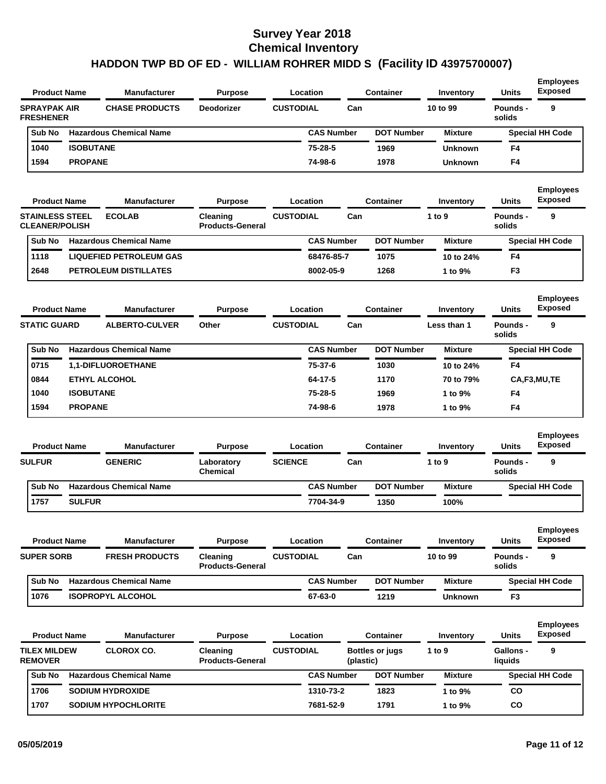| <b>Product Name</b>                     |                  | Manufacturer<br>Location<br><b>Purpose</b> |                   | <b>Container</b> | Inventory         | <b>Units</b> | <b>Employees</b><br><b>Exposed</b> |                |                    |                        |
|-----------------------------------------|------------------|--------------------------------------------|-------------------|------------------|-------------------|--------------|------------------------------------|----------------|--------------------|------------------------|
| <b>SPRAYPAK AIR</b><br><b>FRESHENER</b> |                  | <b>CHASE PRODUCTS</b>                      | <b>Deodorizer</b> | <b>CUSTODIAL</b> |                   | Can          |                                    | 10 to 99       | Pounds -<br>solids | 9                      |
| Sub No                                  |                  | <b>Hazardous Chemical Name</b>             |                   |                  | <b>CAS Number</b> |              | <b>DOT Number</b>                  | <b>Mixture</b> |                    | <b>Special HH Code</b> |
| 1040                                    | <b>ISOBUTANE</b> |                                            |                   |                  | $75 - 28 - 5$     |              | 1969                               | <b>Unknown</b> | F <sub>4</sub>     |                        |
| 1594                                    | <b>PROPANE</b>   |                                            |                   |                  | 74-98-6           |              | 1978                               | <b>Unknown</b> | F <sub>4</sub>     |                        |
|                                         |                  |                                            |                   |                  |                   |              |                                    |                |                    |                        |

| <b>Product Name</b>                             | <b>Manufacturer</b>            | <b>Purpose</b>                      |                  | Location          |     | Container         | Inventory      | <b>Units</b>       | <b>Employees</b><br><b>Exposed</b> |
|-------------------------------------------------|--------------------------------|-------------------------------------|------------------|-------------------|-----|-------------------|----------------|--------------------|------------------------------------|
| <b>STAINLESS STEEL</b><br><b>CLEANER/POLISH</b> | <b>ECOLAB</b>                  | Cleaning<br><b>Products-General</b> | <b>CUSTODIAL</b> |                   | Can |                   | 1 to $9$       | Pounds -<br>solids | 9                                  |
| Sub No                                          | <b>Hazardous Chemical Name</b> |                                     |                  | <b>CAS Number</b> |     | <b>DOT Number</b> | <b>Mixture</b> |                    | <b>Special HH Code</b>             |
| 1118                                            | <b>LIQUEFIED PETROLEUM GAS</b> |                                     |                  | 68476-85-7        |     | 1075              | 10 to 24%      | F <sub>4</sub>     |                                    |
| 2648                                            | <b>PETROLEUM DISTILLATES</b>   |                                     |                  | 8002-05-9         |     | 1268              | 1 to $9\%$     | F <sub>3</sub>     |                                    |

| <b>Product Name</b><br><b>STATIC GUARD</b> |        |                       | <b>Manufacturer</b>            | <b>Purpose</b>            |  | Location          |  | <b>Container</b>  | Inventory      | <b>Units</b>       | <b>Employees</b><br><b>Exposed</b> |  |
|--------------------------------------------|--------|-----------------------|--------------------------------|---------------------------|--|-------------------|--|-------------------|----------------|--------------------|------------------------------------|--|
|                                            |        | <b>ALBERTO-CULVER</b> |                                | Other<br><b>CUSTODIAL</b> |  | Can               |  |                   | Less than 1    | Pounds -<br>solids | 9                                  |  |
|                                            | Sub No |                       | <b>Hazardous Chemical Name</b> |                           |  | <b>CAS Number</b> |  | <b>DOT Number</b> | <b>Mixture</b> |                    | <b>Special HH Code</b>             |  |
|                                            | 0715   |                       | <b>1.1-DIFLUOROETHANE</b>      |                           |  | 75-37-6           |  | 1030              | 10 to 24%      | F4                 |                                    |  |
|                                            | 0844   |                       | ETHYL ALCOHOL                  |                           |  | 64-17-5           |  | 1170              | 70 to 79%      |                    | CA,F3,MU,TE                        |  |
|                                            | 1040   | <b>ISOBUTANE</b>      |                                |                           |  | $75 - 28 - 5$     |  | 1969              | 1 to $9\%$     | F4                 |                                    |  |
|                                            | 1594   | <b>PROPANE</b>        |                                |                           |  | 74-98-6           |  | 1978              | 1 to $9\%$     | F <sub>4</sub>     |                                    |  |

| <b>Product Name</b> |               | <b>Manufacturer</b>            | <b>Purpose</b>                |                | Location          | <b>Container</b>  | Inventory      | <b>Units</b>       | <b>Employees</b><br><b>Exposed</b> |
|---------------------|---------------|--------------------------------|-------------------------------|----------------|-------------------|-------------------|----------------|--------------------|------------------------------------|
| <b>SULFUR</b>       |               | <b>GENERIC</b>                 | Laboratory<br><b>Chemical</b> | <b>SCIENCE</b> | Can               | 1 to 9            |                | Pounds -<br>solids | 9                                  |
|                     | <b>Sub No</b> | <b>Hazardous Chemical Name</b> |                               |                | <b>CAS Number</b> | <b>DOT Number</b> | <b>Mixture</b> |                    | <b>Special HH Code</b>             |
|                     | 1757          | <b>SULFUR</b>                  |                               |                | 7704-34-9         | 1350              | 100%           |                    |                                    |

| <b>Product Name</b> |                   | <b>Manufacturer</b>            | <b>Purpose</b>                             | Location         |                   | Container         | Inventory      | <b>Units</b>       | <b>Employees</b><br><b>Exposed</b> |  |
|---------------------|-------------------|--------------------------------|--------------------------------------------|------------------|-------------------|-------------------|----------------|--------------------|------------------------------------|--|
|                     | <b>SUPER SORB</b> | <b>FRESH PRODUCTS</b>          | <b>Cleaning</b><br><b>Products-General</b> | <b>CUSTODIAL</b> | Can               |                   | 10 to 99       | Pounds -<br>solids | 9                                  |  |
|                     | <b>Sub No</b>     | <b>Hazardous Chemical Name</b> |                                            |                  | <b>CAS Number</b> | <b>DOT Number</b> | <b>Mixture</b> |                    | <b>Special HH Code</b>             |  |
|                     | 1076              | <b>ISOPROPYL ALCOHOL</b>       |                                            |                  | 67-63-0           | 1219              | <b>Unknown</b> | F3                 |                                    |  |

| <b>Product Name</b> |                                       | <b>Manufacturer</b><br><b>Purpose</b> |                                            | Location         |                   | Container | Inventory              | <b>Units</b>   | <b>Employees</b><br><b>Exposed</b> |                        |
|---------------------|---------------------------------------|---------------------------------------|--------------------------------------------|------------------|-------------------|-----------|------------------------|----------------|------------------------------------|------------------------|
|                     | <b>TILEX MILDEW</b><br><b>REMOVER</b> | <b>CLOROX CO.</b>                     | <b>Cleaning</b><br><b>Products-General</b> | <b>CUSTODIAL</b> |                   | (plastic) | <b>Bottles or jugs</b> | 1 to $9$       | Gallons -<br>liquids               | 9                      |
|                     | <b>Sub No</b>                         | <b>Hazardous Chemical Name</b>        |                                            |                  | <b>CAS Number</b> |           | <b>DOT Number</b>      | <b>Mixture</b> |                                    | <b>Special HH Code</b> |
|                     | 1706                                  | <b>SODIUM HYDROXIDE</b>               |                                            |                  | 1310-73-2         |           | 1823                   | 1 to $9\%$     | CO                                 |                        |
|                     | 1707                                  | <b>SODIUM HYPOCHLORITE</b>            |                                            |                  | 7681-52-9         |           | 1791                   | 1 to $9\%$     | CO                                 |                        |